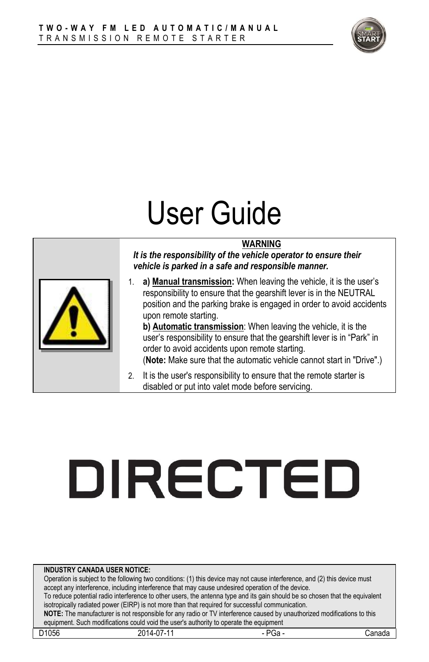

# User Guide

#### **WARNING**

*It is the responsibility of the vehicle operator to ensure their vehicle is parked in a safe and responsible manner.*

- 
- 1. **a) Manual transmission:** When leaving the vehicle, it is the user's responsibility to ensure that the gearshift lever is in the NEUTRAL position and the parking brake is engaged in order to avoid accidents upon remote starting.

**b) Automatic transmission**: When leaving the vehicle, it is the user's responsibility to ensure that the gearshift lever is in "Park" in order to avoid accidents upon remote starting. (**Note:** Make sure that the automatic vehicle cannot start in "Drive".)

2. It is the user's responsibility to ensure that the remote starter is disabled or put into valet mode before servicing.

# **DIRECTED**

#### **INDUSTRY CANADA USER NOTICE:**

Operation is subject to the following two conditions: (1) this device may not cause interference, and (2) this device must accept any interference, including interference that may cause undesired operation of the device. To reduce potential radio interference to other users, the antenna type and its gain should be so chosen that the equivalent isotropically radiated power (EIRP) is not more than that required for successful communication. **NOTE:** The manufacturer is not responsible for any radio or TV interference caused by unauthorized modifications to this equipment. Such modifications could void the user's authority to operate the equipment

D1056 2014-07-11 - PGa - Canada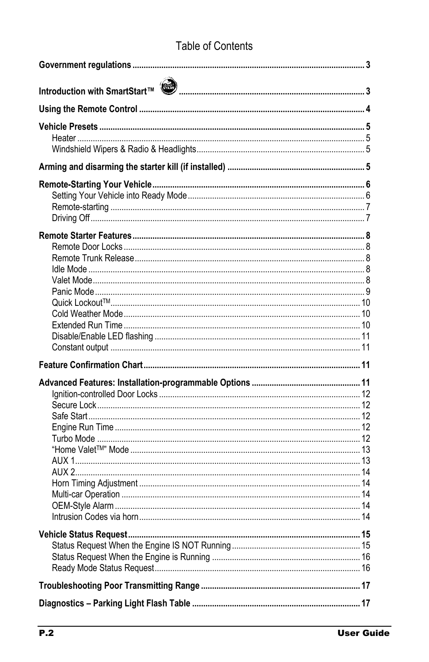## Table of Contents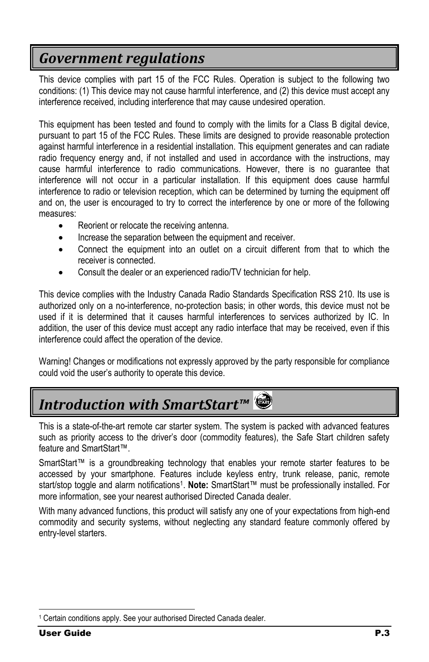# <span id="page-2-0"></span>*Government regulations*

This device complies with part 15 of the FCC Rules. Operation is subject to the following two conditions: (1) This device may not cause harmful interference, and (2) this device must accept any interference received, including interference that may cause undesired operation.

This equipment has been tested and found to comply with the limits for a Class B digital device, pursuant to part 15 of the FCC Rules. These limits are designed to provide reasonable protection against harmful interference in a residential installation. This equipment generates and can radiate radio frequency energy and, if not installed and used in accordance with the instructions, may cause harmful interference to radio communications. However, there is no guarantee that interference will not occur in a particular installation. If this equipment does cause harmful interference to radio or television reception, which can be determined by turning the equipment off and on, the user is encouraged to try to correct the interference by one or more of the following measures:

- Reorient or relocate the receiving antenna.
- Increase the separation between the equipment and receiver.
- Connect the equipment into an outlet on a circuit different from that to which the receiver is connected.
- Consult the dealer or an experienced radio/TV technician for help.

This device complies with the Industry Canada Radio Standards Specification RSS 210. Its use is authorized only on a no-interference, no-protection basis; in other words, this device must not be used if it is determined that it causes harmful interferences to services authorized by IC. In addition, the user of this device must accept any radio interface that may be received, even if this interference could affect the operation of the device.

Warning! Changes or modifications not expressly approved by the party responsible for compliance could void the user's authority to operate this device.

# <span id="page-2-1"></span>*Introduction with SmartStart™*

This is a state-of-the-art remote car starter system. The system is packed with advanced features such as priority access to the driver's door (commodity features), the Safe Start children safety feature and SmartStart™.

SmartStart™ is a groundbreaking technology that enables your remote starter features to be accessed by your smartphone. Features include keyless entry, trunk release, panic, remote start/stop toggle and alarm notifications<sup>1</sup>. Note: SmartStart™ must be professionally installed. For more information, see your nearest authorised Directed Canada dealer.

With many advanced functions, this product will satisfy any one of your expectations from high-end commodity and security systems, without neglecting any standard feature commonly offered by entry-level starters.

 $\overline{a}$ 

<sup>1</sup> Certain conditions apply. See your authorised Directed Canada dealer.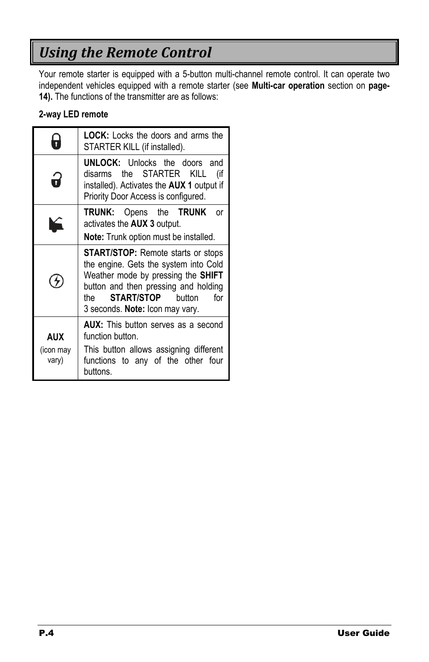# <span id="page-3-0"></span>*Using the Remote Control*

Your remote starter is equipped with a 5-button multi-channel remote control. It can operate two independent vehicles equipped with a remote starter (see **Multi-car operation** section on **page-[14\)](#page-13-2).** The functions of the transmitter are as follows:

#### **2-way LED remote**

|                                  | <b>LOCK:</b> Locks the doors and arms the<br>STARTER KILL (if installed).                                                                                                                                                                        |  |  |  |
|----------------------------------|--------------------------------------------------------------------------------------------------------------------------------------------------------------------------------------------------------------------------------------------------|--|--|--|
|                                  | <b>UNLOCK:</b> Unlocks the doors and<br>disarms the STARTER KILL<br>(if<br>installed). Activates the <b>AUX 1</b> output if<br>Priority Door Access is configured.                                                                               |  |  |  |
|                                  | <b>TRUNK:</b> Opens the TRUNK<br>or<br>activates the <b>AUX 3</b> output.<br><b>Note:</b> Trunk option must be installed.                                                                                                                        |  |  |  |
|                                  | <b>START/STOP:</b> Remote starts or stops<br>the engine. Gets the system into Cold<br>Weather mode by pressing the SHIFT<br>button and then pressing and holding<br><b>START/STOP</b><br>button<br>for<br>the<br>3 seconds. Note: Icon may vary. |  |  |  |
| <b>AUX</b><br>(icon may<br>vary) | <b>AUX:</b> This button serves as a second<br>function button.<br>This button allows assigning different<br>functions to any of the other four<br>buttons.                                                                                       |  |  |  |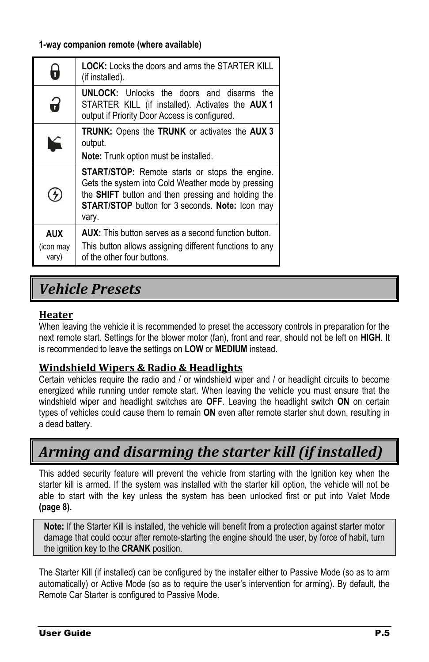**1-way companion remote (where available)**

| 7                         | <b>LOCK:</b> Locks the doors and arms the STARTER KILL<br>(if installed).                                                                                                                                                            |  |  |
|---------------------------|--------------------------------------------------------------------------------------------------------------------------------------------------------------------------------------------------------------------------------------|--|--|
| 3                         | <b>UNLOCK:</b> Unlocks the doors and disarms the<br>STARTER KILL (if installed). Activates the AUX 1<br>output if Priority Door Access is configured.                                                                                |  |  |
| K                         | <b>TRUNK:</b> Opens the TRUNK or activates the AUX 3<br>output.<br>Note: Trunk option must be installed.                                                                                                                             |  |  |
| $\mathcal{F}$             | START/STOP: Remote starts or stops the engine.<br>Gets the system into Cold Weather mode by pressing<br>the <b>SHIFT</b> button and then pressing and holding the<br><b>START/STOP</b> button for 3 seconds. Note: Icon may<br>vary. |  |  |
| AUX<br>(icon may<br>vary) | <b>AUX:</b> This button serves as a second function button.<br>This button allows assigning different functions to any<br>of the other four buttons.                                                                                 |  |  |

# <span id="page-4-0"></span>*Vehicle Presets*

#### <span id="page-4-1"></span>**Heater**

When leaving the vehicle it is recommended to preset the accessory controls in preparation for the next remote start. Settings for the blower motor (fan), front and rear, should not be left on **HIGH**. It is recommended to leave the settings on **LOW** or **MEDIUM** instead.

#### <span id="page-4-2"></span>**Windshield Wipers & Radio & Headlights**

Certain vehicles require the radio and / or windshield wiper and / or headlight circuits to become energized while running under remote start. When leaving the vehicle you must ensure that the windshield wiper and headlight switches are **OFF**. Leaving the headlight switch **ON** on certain types of vehicles could cause them to remain **ON** even after remote starter shut down, resulting in a dead battery.

# <span id="page-4-3"></span>*Arming and disarming the starter kill (if installed)*

This added security feature will prevent the vehicle from starting with the Ignition key when the starter kill is armed. If the system was installed with the starter kill option, the vehicle will not be able to start with the key unless the system has been unlocked first or put into Valet Mode **(page [8\)](#page-7-4).**

Note: If the Starter Kill is installed, the vehicle will benefit from a protection against starter motor damage that could occur after remote-starting the engine should the user, by force of habit, turn the ignition key to the **CRANK** position.

The Starter Kill (if installed) can be configured by the installer either to Passive Mode (so as to arm automatically) or Active Mode (so as to require the user's intervention for arming). By default, the Remote Car Starter is configured to Passive Mode.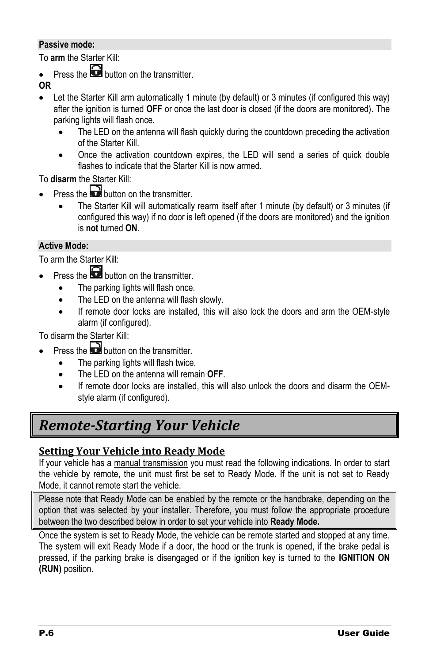#### **Passive mode:**

To **arm** the Starter Kill:

- $\bullet$  Press the **button** on the transmitter.
- **OR**
- Let the Starter Kill arm automatically 1 minute (by default) or 3 minutes (if configured this way) after the ignition is turned **OFF** or once the last door is closed (if the doors are monitored). The parking lights will flash once.
	- The LED on the antenna will flash quickly during the countdown preceding the activation of the Starter Kill.
	- Once the activation countdown expires, the LED will send a series of quick double flashes to indicate that the Starter Kill is now armed.

To **disarm** the Starter Kill:

- Press the  $\overrightarrow{D}$  button on the transmitter.
	- The Starter Kill will automatically rearm itself after 1 minute (by default) or 3 minutes (if configured this way) if no door is left opened (if the doors are monitored) and the ignition is **not** turned **ON**.

#### **Active Mode:**

To arm the Starter Kill:

- Press the **button** on the transmitter.
	- The parking lights will flash once.
	- The LED on the antenna will flash slowly.
	- If remote door locks are installed, this will also lock the doors and arm the OEM-style alarm (if configured).

To disarm the Starter Kill:

- Press the  $\Box$  button on the transmitter.
	- The parking lights will flash twice.
	- The LED on the antenna will remain **OFF**.
	- If remote door locks are installed, this will also unlock the doors and disarm the OEMstyle alarm (if configured).

# <span id="page-5-0"></span>*Remote-Starting Your Vehicle*

#### <span id="page-5-1"></span>**Setting Your Vehicle into Ready Mode**

If your vehicle has a manual transmission you must read the following indications. In order to start the vehicle by remote, the unit must first be set to Ready Mode. If the unit is not set to Ready Mode, it cannot remote start the vehicle.

Please note that Ready Mode can be enabled by the remote or the handbrake, depending on the option that was selected by your installer. Therefore, you must follow the appropriate procedure between the two described below in order to set your vehicle into **Ready Mode.**

Once the system is set to Ready Mode, the vehicle can be remote started and stopped at any time. The system will exit Ready Mode if a door, the hood or the trunk is opened, if the brake pedal is pressed, if the parking brake is disengaged or if the ignition key is turned to the **IGNITION ON (RUN)** position.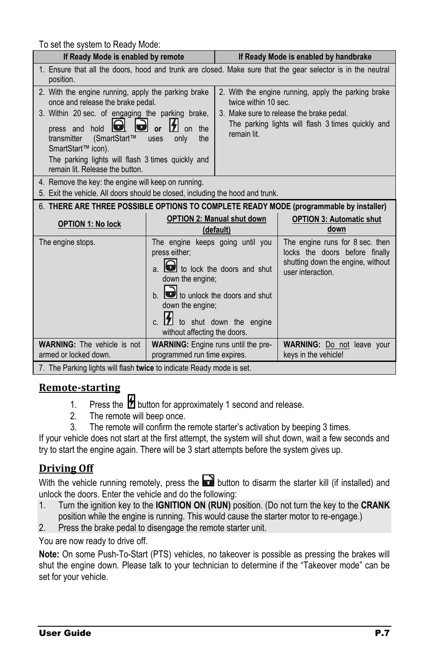To set the system to Ready Mode:

| TO SUIT THE SYSTEM TO TIGGLY INDUC.<br>If Ready Mode is enabled by remote                                                                                                                                                                                                                                                                                                                                                                                                                                                                                                                         |                                                                                                                                                                     |                                                       | If Ready Mode is enabled by handbrake                                                                                       |  |
|---------------------------------------------------------------------------------------------------------------------------------------------------------------------------------------------------------------------------------------------------------------------------------------------------------------------------------------------------------------------------------------------------------------------------------------------------------------------------------------------------------------------------------------------------------------------------------------------------|---------------------------------------------------------------------------------------------------------------------------------------------------------------------|-------------------------------------------------------|-----------------------------------------------------------------------------------------------------------------------------|--|
| 1. Ensure that all the doors, hood and trunk are closed. Make sure that the gear selector is in the neutral<br>position.                                                                                                                                                                                                                                                                                                                                                                                                                                                                          |                                                                                                                                                                     |                                                       |                                                                                                                             |  |
| 2. With the engine running, apply the parking brake<br>2. With the engine running, apply the parking brake<br>twice within 10 sec.<br>once and release the brake pedal.<br>3. Within 20 sec. of engaging the parking brake,<br>3. Make sure to release the brake pedal.<br>The parking lights will flash 3 times guickly and<br>lo<br>$\overline{\mathbf{u}}$<br>press and hold<br>the<br>or<br>n <sub>n</sub><br>remain lit.<br>(SmartStart™<br>transmitter<br>only<br>the<br>uses<br>SmartStart™ icon).<br>The parking lights will flash 3 times guickly and<br>remain lit. Release the button. |                                                                                                                                                                     |                                                       |                                                                                                                             |  |
| 4. Remove the key: the engine will keep on running.<br>5. Exit the vehicle. All doors should be closed, including the hood and trunk.                                                                                                                                                                                                                                                                                                                                                                                                                                                             |                                                                                                                                                                     |                                                       |                                                                                                                             |  |
|                                                                                                                                                                                                                                                                                                                                                                                                                                                                                                                                                                                                   |                                                                                                                                                                     |                                                       | 6. THERE ARE THREE POSSIBLE OPTIONS TO COMPLETE READY MODE (programmable by installer)                                      |  |
| <b>OPTION 1: No lock</b>                                                                                                                                                                                                                                                                                                                                                                                                                                                                                                                                                                          |                                                                                                                                                                     | <b>OPTION 2: Manual shut down</b><br>(default)        | <b>OPTION 3: Automatic shut</b><br>down                                                                                     |  |
| The engine stops.                                                                                                                                                                                                                                                                                                                                                                                                                                                                                                                                                                                 | The engine keeps going until you<br>press either;<br>down the engine;<br>$b.$ to unlock the doors and shut<br>down the engine;<br>И<br>without affecting the doors. | to lock the doors and shut<br>to shut down the engine | The engine runs for 8 sec. then<br>locks the doors before finally<br>shutting down the engine, without<br>user interaction. |  |
| <b>WARNING:</b> The vehicle is not<br>armed or locked down.                                                                                                                                                                                                                                                                                                                                                                                                                                                                                                                                       | <b>WARNING:</b> Engine runs until the pre-<br><b>WARNING:</b> Do not leave your<br>programmed run time expires.<br>keys in the vehicle!                             |                                                       |                                                                                                                             |  |
| 7. The Parking lights will flash twice to indicate Ready mode is set.                                                                                                                                                                                                                                                                                                                                                                                                                                                                                                                             |                                                                                                                                                                     |                                                       |                                                                                                                             |  |

#### <span id="page-6-0"></span>**Remote-starting**

- 1. Press the  $\sharp$  button for approximately 1 second and release.
- 2. The remote will beep once.
- 3. The remote will confirm the remote starter's activation by beeping 3 times.

If your vehicle does not start at the first attempt, the system will shut down, wait a few seconds and try to start the engine again. There will be 3 start attempts before the system gives up.

#### <span id="page-6-1"></span>**Driving Off**

With the vehicle running remotely, press the  $\blacksquare$  button to disarm the starter kill (if installed) and unlock the doors. Enter the vehicle and do the following:

- 1. Turn the ignition key to the **IGNITION ON (RUN)** position. (Do not turn the key to the **CRANK** position while the engine is running. This would cause the starter motor to re-engage.)
- 2. Press the brake pedal to disengage the remote starter unit.

You are now ready to drive off.

**Note:** On some Push-To-Start (PTS) vehicles, no takeover is possible as pressing the brakes will shut the engine down. Please talk to your technician to determine if the "Takeover mode" can be set for your vehicle.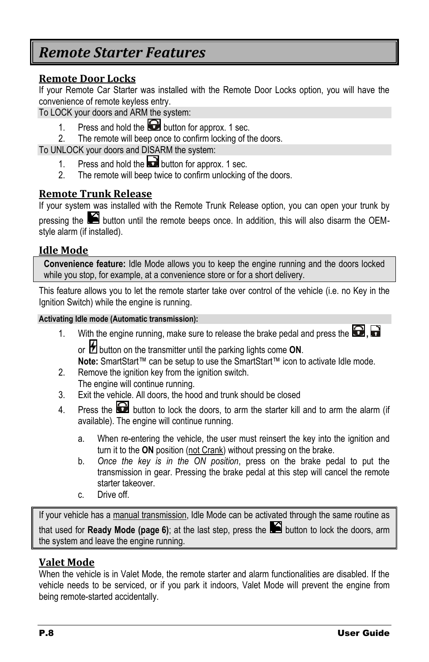# <span id="page-7-0"></span>*Remote Starter Features*

#### <span id="page-7-1"></span>**Remote Door Locks**

If your Remote Car Starter was installed with the Remote Door Locks option, you will have the convenience of remote keyless entry.

To LOCK your doors and ARM the system:

- 1. Press and hold the **button for approx.** 1 sec.
- 2. The remote will beep once to confirm locking of the doors.

To UNLOCK your doors and DISARM the system:

- 1. Press and hold the **button for approx.** 1 sec.
- 2. The remote will beep twice to confirm unlocking of the doors.

#### <span id="page-7-2"></span>**Remote Trunk Release**

If your system was installed with the Remote Trunk Release option, you can open your trunk by

pressing the  $\blacktriangleright$  button until the remote beeps once. In addition, this will also disarm the OEMstyle alarm (if installed).

#### <span id="page-7-3"></span>**Idle Mode**

**Convenience feature:** Idle Mode allows you to keep the engine running and the doors locked while you stop, for example, at a convenience store or for a short delivery.

This feature allows you to let the remote starter take over control of the vehicle (i.e. no Key in the Ignition Switch) while the engine is running.

#### **Activating Idle mode (Automatic transmission):**

1. With the engine running, make sure to release the brake pedal and press the **Q**.

or **1** button on the transmitter until the parking lights come **ON**.

**Note:** SmartStart™ can be setup to use the SmartStart™ icon to activate Idle mode.

- 2. Remove the ignition key from the ignition switch.
	- The engine will continue running.
- 3. Exit the vehicle. All doors, the hood and trunk should be closed
- 4. Press the  $\Box$  button to lock the doors, to arm the starter kill and to arm the alarm (if available). The engine will continue running.
	- a. When re-entering the vehicle, the user must reinsert the key into the ignition and turn it to the **ON** position (not Crank) without pressing on the brake.
	- b. *Once the key is in the ON position*, press on the brake pedal to put the transmission in gear. Pressing the brake pedal at this step will cancel the remote starter takeover.
	- c. Drive off.

If your vehicle has a manual transmission, Idle Mode can be activated through the same routine as that used for **Ready Mode (page [6\)](#page-5-1)**; at the last step, press the **button to lock the doors**, arm the system and leave the engine running.

#### <span id="page-7-4"></span>**Valet Mode**

When the vehicle is in Valet Mode, the remote starter and alarm functionalities are disabled. If the vehicle needs to be serviced, or if you park it indoors, Valet Mode will prevent the engine from being remote-started accidentally.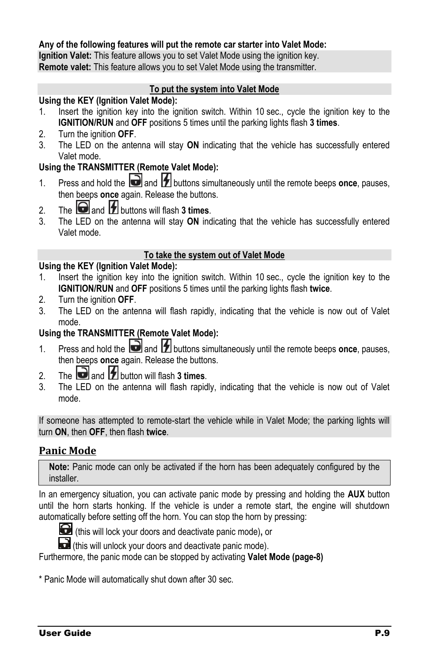#### **Any of the following features will put the remote car starter into Valet Mode:**

**Ignition Valet:** This feature allows you to set Valet Mode using the ignition key. **Remote valet:** This feature allows you to set Valet Mode using the transmitter.

#### **To put the system into Valet Mode**

#### **Using the KEY (Ignition Valet Mode):**

- 1. Insert the ignition key into the ignition switch. Within 10 sec., cycle the ignition key to the **IGNITION/RUN** and **OFF** positions 5 times until the parking lights flash **3 times**.
- 2. Turn the ignition **OFF**.
- 3. The LED on the antenna will stay **ON** indicating that the vehicle has successfully entered Valet mode.

#### **Using the TRANSMITTER (Remote Valet Mode):**

- 1. Press and hold the **a**nd **f** buttons simultaneously until the remote beeps **once**, pauses, then beeps **once** again. Release the buttons.
- 2. The  $\bigcirc$  and  $\bigcirc$  buttons will flash 3 **times**.
- 3. The LED on the antenna will stay **ON** indicating that the vehicle has successfully entered Valet mode.

#### **To take the system out of Valet Mode**

#### **Using the KEY (Ignition Valet Mode):**

- 1. Insert the ignition key into the ignition switch. Within 10 sec., cycle the ignition key to the **IGNITION/RUN** and **OFF** positions 5 times until the parking lights flash **twice**.
- 2. Turn the ignition **OFF**.
- 3. The LED on the antenna will flash rapidly, indicating that the vehicle is now out of Valet mode.

#### **Using the TRANSMITTER (Remote Valet Mode):**

- 1. Press and hold the **a**nd **1** and **1** buttons simultaneously until the remote beeps **once**, pauses, then beeps **once** again. Release the buttons.
- 2. The  $\Box$  and  $\Box$  button will flash 3 times.
- 3. The LED on the antenna will flash rapidly, indicating that the vehicle is now out of Valet mode.

If someone has attempted to remote-start the vehicle while in Valet Mode; the parking lights will turn **ON**, then **OFF**, then flash **twice**.

#### <span id="page-8-0"></span>**Panic Mode**

**Note:** Panic mode can only be activated if the horn has been adequately configured by the installer.

In an emergency situation, you can activate panic mode by pressing and holding the **AUX** button until the horn starts honking. If the vehicle is under a remote start, the engine will shutdown automatically before setting off the horn. You can stop the horn by pressing:



(this will lock your doors and deactivate panic mode)**,** or

(this will unlock your doors and deactivate panic mode).

Furthermore, the panic mode can be stopped by activating **Valet Mode (page[-8\)](#page-7-4)**

\* Panic Mode will automatically shut down after 30 sec.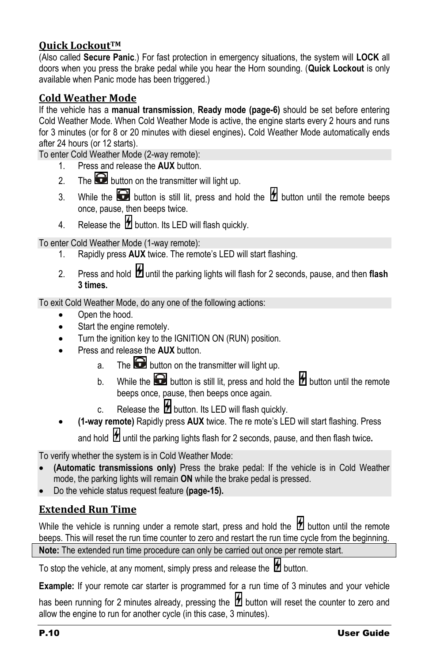#### <span id="page-9-0"></span>**Quick LockoutTM**

(Also called **Secure Panic**.) For fast protection in emergency situations, the system will **LOCK** all doors when you press the brake pedal while you hear the Horn sounding. (**Quick Lockout** is only available when Panic mode has been triggered.)

#### <span id="page-9-1"></span>**Cold Weather Mode**

If the vehicle has a **manual transmission**, **Ready mode (page[-6\)](#page-5-1)** should be set before entering Cold Weather Mode. When Cold Weather Mode is active, the engine starts every 2 hours and runs for 3 minutes (or for 8 or 20 minutes with diesel engines)**.** Cold Weather Mode automatically ends after 24 hours (or 12 starts).

To enter Cold Weather Mode (2-way remote):

- 1. Press and release the **AUX** button.
- 2. The **button on the transmitter will light up.**
- 3. While the **button** is still lit, press and hold the  $\mathcal{H}$  button until the remote beeps once, pause, then beeps twice.
- 4. Release the  $\sharp$  button. Its LED will flash quickly.

To enter Cold Weather Mode (1-way remote):

- Rapidly press **AUX** twice. The remote's LED will start flashing.
- 2. Press and hold **2** until the parking lights will flash for 2 seconds, pause, and then flash **3 times.**

To exit Cold Weather Mode, do any one of the following actions:

- Open the hood.
- Start the engine remotely.
- Turn the ignition key to the IGNITION ON (RUN) position.
- Press and release the **AUX** button.
	- a. The **button on the transmitter will light up.**
	- b. While the **button** is still lit, press and hold the  $\mathcal{H}$  button until the remote beeps once, pause, then beeps once again.
	- c. Release the  $\sharp$  button. Its LED will flash quickly.
- **(1-way remote)** Rapidly press **AUX** twice. The re mote's LED will start flashing. Press and hold  $\mathcal{H}$  until the parking lights flash for 2 seconds, pause, and then flash twice.

To verify whether the system is in Cold Weather Mode:

- **(Automatic transmissions only)** Press the brake pedal: If the vehicle is in Cold Weather mode, the parking lights will remain **ON** while the brake pedal is pressed.
- Do the vehicle status request feature **(page[-15\)](#page-14-0).**

#### <span id="page-9-2"></span>**Extended Run Time**

While the vehicle is running under a remote start, press and hold the  $\mathcal B$  button until the remote beeps. This will reset the run time counter to zero and restart the run time cycle from the beginning. **Note:** The extended run time procedure can only be carried out once per remote start.

To stop the vehicle, at any moment, simply press and release the  $\mathbb Z$  button.

**Example:** If your remote car starter is programmed for a run time of 3 minutes and your vehicle

has been running for 2 minutes already, pressing the  $\mathcal H$  button will reset the counter to zero and allow the engine to run for another cycle (in this case, 3 minutes).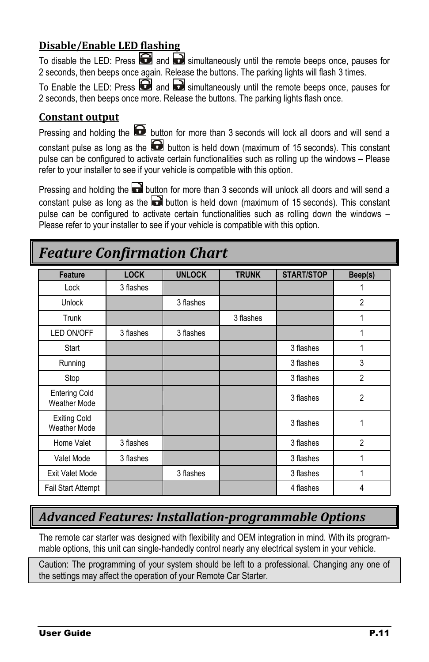#### <span id="page-10-0"></span>**Disable/Enable LED flashing**

To disable the LED: Press  $\Box$  and  $\Box$  simultaneously until the remote beeps once, pauses for 2 seconds, then beeps once again. Release the buttons. The parking lights will flash 3 times.

To Enable the LED: Press  $\Box$  and  $\Box$  simultaneously until the remote beeps once, pauses for 2 seconds, then beeps once more. Release the buttons. The parking lights flash once.

#### <span id="page-10-1"></span>**Constant output**

Pressing and holding the **button for more than 3 seconds will lock all doors and will send a** constant pulse as long as the  $\blacksquare$  button is held down (maximum of 15 seconds). This constant pulse can be configured to activate certain functionalities such as rolling up the windows – Please refer to your installer to see if your vehicle is compatible with this option.

Pressing and holding the **button for more than 3 seconds will unlock all doors and will send a** constant pulse as long as the  $\Box$  button is held down (maximum of 15 seconds). This constant pulse can be configured to activate certain functionalities such as rolling down the windows – Please refer to your installer to see if your vehicle is compatible with this option.

#### **Feature LOCK UNLOCK TRUNK START/STOP Beep(s)** Lock 3 flashes 1 Unlock | 3 flashes | 2 Trunk | International States | States | International States | International States | International States | I LED ON/OFF | 3 flashes | 3 flashes | 1 Start | **Start | Start | Start | Start | Start |** Start | Start | Start | Start | Start | Start | St Running 2 and 3 flashes 3 Stop | International | International 2014 | Stop | 2 Entering Cold Entering Cota **2**<br>Weather Mode 2 Exiting Cold<br>Weather Mode Exteng Cold<br>Weather Mode 3 flashes 1 Home Valet 3 flashes 2 and 3 flashes 2 Valet Mode 3 flashes 3 flashes 1 Exit Valet Mode 2012 2012 12:30 Tashes 2012 13 flashes 3 flashes 3 flashes 3 flashes 3 flashes 3 flashes 3 flashes 3 flashes 3 flashes 3 flashes 3 flashes 3 flashes 3 flashes 3 flashes 3 flashes 3 flashes 3 flashes 3 flash Fail Start Attempt 4 flashes 4

# <span id="page-10-2"></span>*Feature Confirmation Chart*

### <span id="page-10-3"></span>*Advanced Features: Installation-programmable Options*

The remote car starter was designed with flexibility and OEM integration in mind. With its programmable options, this unit can single-handedly control nearly any electrical system in your vehicle.

Caution: The programming of your system should be left to a professional. Changing any one of the settings may affect the operation of your Remote Car Starter.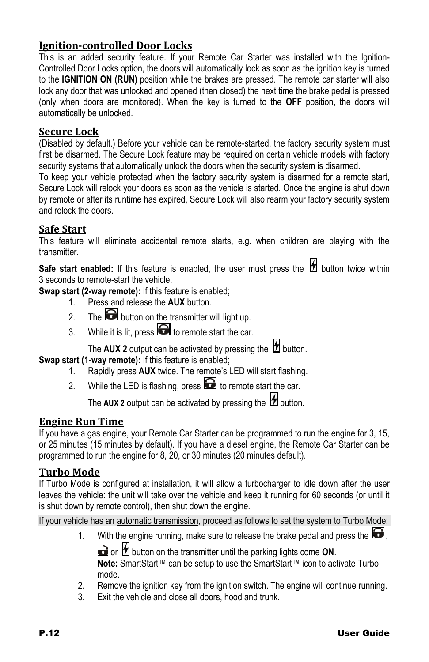#### <span id="page-11-0"></span>**Ignition-controlled Door Locks**

This is an added security feature. If your Remote Car Starter was installed with the Ignition-Controlled Door Locks option, the doors will automatically lock as soon as the ignition key is turned to the **IGNITION ON (RUN)** position while the brakes are pressed. The remote car starter will also lock any door that was unlocked and opened (then closed) the next time the brake pedal is pressed (only when doors are monitored). When the key is turned to the **OFF** position, the doors will automatically be unlocked.

#### <span id="page-11-1"></span>**Secure Lock**

(Disabled by default.) Before your vehicle can be remote-started, the factory security system must first be disarmed. The Secure Lock feature may be required on certain vehicle models with factory security systems that automatically unlock the doors when the security system is disarmed.

To keep your vehicle protected when the factory security system is disarmed for a remote start, Secure Lock will relock your doors as soon as the vehicle is started. Once the engine is shut down by remote or after its runtime has expired, Secure Lock will also rearm your factory security system and relock the doors.

#### <span id="page-11-2"></span>**Safe Start**

This feature will eliminate accidental remote starts, e.g. when children are playing with the transmitter.

Safe start enabled: If this feature is enabled, the user must press the **1** button twice within 3 seconds to remote-start the vehicle.

**Swap start (2-way remote):** If this feature is enabled;

- 1. Press and release the **AUX** button.
- 2. The **button on the transmitter will light up.**
- 3. While it is lit, press  $\bigodot$  to remote start the car.

The  $AUX 2$  output can be activated by pressing the  $b$  button.

**Swap start (1-way remote):** If this feature is enabled;

- 1. Rapidly press **AUX** twice. The remote's LED will start flashing.
- 2. While the LED is flashing, press  $\bigodot$  to remote start the car.

The AUX 2 output can be activated by pressing the  $\mathcal B$  button.

#### <span id="page-11-3"></span>**Engine Run Time**

If you have a gas engine, your Remote Car Starter can be programmed to run the engine for 3, 15, or 25 minutes (15 minutes by default). If you have a diesel engine, the Remote Car Starter can be programmed to run the engine for 8, 20, or 30 minutes (20 minutes default).

#### <span id="page-11-4"></span>**Turbo Mode**

If Turbo Mode is configured at installation, it will allow a turbocharger to idle down after the user leaves the vehicle: the unit will take over the vehicle and keep it running for 60 seconds (or until it is shut down by remote control), then shut down the engine.

If your vehicle has an automatic transmission, proceed as follows to set the system to Turbo Mode:

1. With the engine running, make sure to release the brake pedal and press the  $\blacksquare$ . or **b** button on the transmitter until the parking lights come **ON**.

**Note:** SmartStart™ can be setup to use the SmartStart™ icon to activate Turbo

- mode.
- 2. Remove the ignition key from the ignition switch. The engine will continue running.
- 3. Exit the vehicle and close all doors, hood and trunk.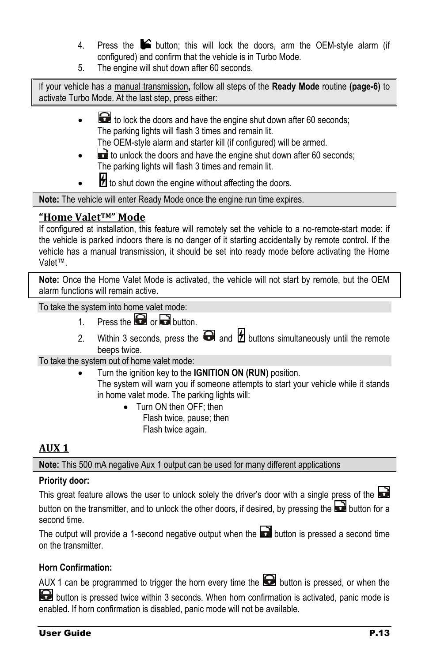- 4. Press the  $\blacktriangleright$  button; this will lock the doors, arm the OEM-style alarm (if configured) and confirm that the vehicle is in Turbo Mode.
- 5. The engine will shut down after 60 seconds.

If your vehicle has a manual transmission**,** follow all steps of the **Ready Mode** routine **(page[-6\)](#page-5-1)** to activate Turbo Mode. At the last step, press either:

- to lock the doors and have the engine shut down after 60 seconds; The parking lights will flash 3 times and remain lit. The OEM-style alarm and starter kill (if configured) will be armed.
- to unlock the doors and have the engine shut down after 60 seconds; The parking lights will flash 3 times and remain lit.
- $H$  to shut down the engine without affecting the doors.

**Note:** The vehicle will enter Ready Mode once the engine run time expires.

#### <span id="page-12-0"></span>**"Home ValetTM" Mode**

If configured at installation, this feature will remotely set the vehicle to a no-remote-start mode: if the vehicle is parked indoors there is no danger of it starting accidentally by remote control. If the vehicle has a manual transmission, it should be set into ready mode before activating the Home Valet™.

**Note:** Once the Home Valet Mode is activated, the vehicle will not start by remote, but the OEM alarm functions will remain active.

To take the system into home valet mode:

- 1. Press the  $\Box$  or  $\Box$  button.
- 2. Within 3 seconds, press the  $\Box$  and  $\Box$  buttons simultaneously until the remote beeps twice.

To take the system out of home valet mode:

- Turn the ignition key to the **IGNITION ON (RUN)** position. The system will warn you if someone attempts to start your vehicle while it stands in home valet mode. The parking lights will:
	- Turn ON then OFF; then Flash twice, pause; then Flash twice again.

#### <span id="page-12-1"></span>**AUX 1**

**Note:** This 500 mA negative Aux 1 output can be used for many different applications

#### **Priority door:**

This great feature allows the user to unlock solely the driver's door with a single press of the button on the transmitter, and to unlock the other doors, if desired, by pressing the  $\Box$  button for a second time.

The output will provide a 1-second negative output when the  $\Box$  button is pressed a second time on the transmitter.

#### **Horn Confirmation:**

AUX 1 can be programmed to trigger the horn every time the  $\blacksquare$  button is pressed, or when the

**button is pressed twice within 3 seconds. When horn confirmation is activated, panic mode is** enabled. If horn confirmation is disabled, panic mode will not be available.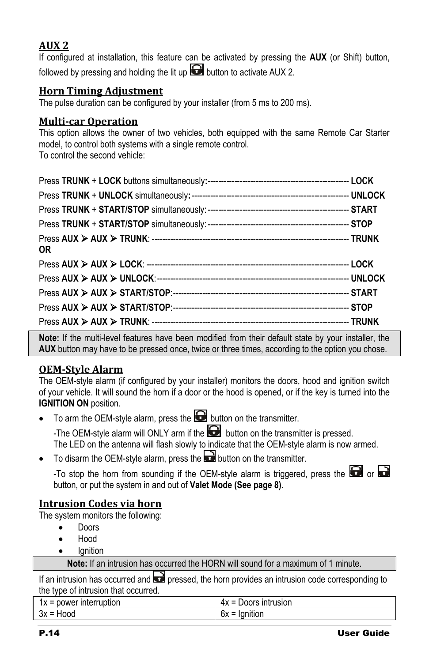#### <span id="page-13-0"></span>**AUX 2**

If configured at installation, this feature can be activated by pressing the **AUX** (or Shift) button, followed by pressing and holding the lit up  $\bigodot$  button to activate AUX 2.

#### <span id="page-13-1"></span>**Horn Timing Adjustment**

The pulse duration can be configured by your installer (from 5 ms to 200 ms).

#### <span id="page-13-2"></span>**Multi-car Operation**

This option allows the owner of two vehicles, both equipped with the same Remote Car Starter model, to control both systems with a single remote control. To control the second vehicle:

| 0R |  |
|----|--|
|    |  |
|    |  |
|    |  |
|    |  |
|    |  |

**Note:** If the multi-level features have been modified from their default state by your installer, the **AUX** button may have to be pressed once, twice or three times, according to the option you chose.

#### <span id="page-13-3"></span>**OEM-Style Alarm**

The OEM-style alarm (if configured by your installer) monitors the doors, hood and ignition switch of your vehicle. It will sound the horn if a door or the hood is opened, or if the key is turned into the **IGNITION ON** position.

 $\bullet$  To arm the OEM-style alarm, press the **button** on the transmitter.

-The OEM-style alarm will ONLY arm if the  $\Box$  button on the transmitter is pressed.

The LED on the antenna will flash slowly to indicate that the OEM-style alarm is now armed.

To disarm the OEM-style alarm, press the  $\Box$  button on the transmitter.

-To stop the horn from sounding if the OEM-style alarm is triggered, press the  $\Box$  or  $\Box$ button, or put the system in and out of **Valet Mode (See page [8\).](#page-7-4)**

#### <span id="page-13-4"></span>**Intrusion Codes via horn**

The system monitors the following:

- Doors
- Hood
- lanition

**Note:** If an intrusion has occurred the HORN will sound for a maximum of 1 minute.

If an intrusion has occurred and **all pressed**, the horn provides an intrusion code corresponding to the type of intrusion that occurred.

| power<br><b>Interruption</b><br>--<br>$\overline{1}$ | intrusion<br>$-0.000$<br>$\mathbf{A}$<br>LJOOLS.<br>4х<br>$\overline{\phantom{a}}$ |
|------------------------------------------------------|------------------------------------------------------------------------------------|
| lood<br>$\overline{\phantom{a}}$<br>◡∧               | $\cdots$<br>anıtıon<br>OΧ.<br>-                                                    |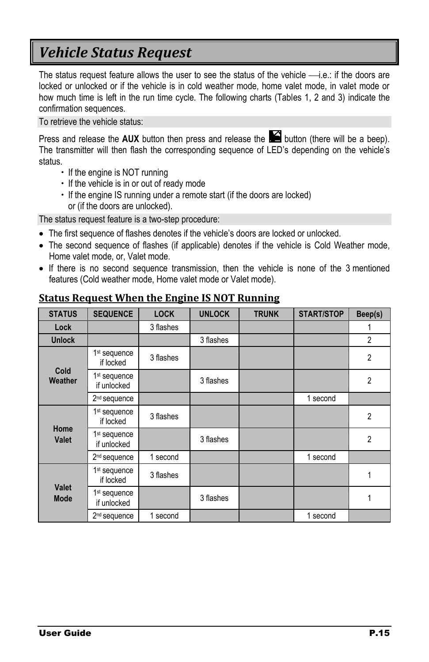# <span id="page-14-0"></span>*Vehicle Status Request*

The status request feature allows the user to see the status of the vehicle  $\longrightarrow$  i.e.: if the doors are locked or unlocked or if the vehicle is in cold weather mode, home valet mode, in valet mode or how much time is left in the run time cycle. The following charts (Tables 1, 2 and 3) indicate the confirmation sequences.

To retrieve the vehicle status:

Press and release the **AUX** button then press and release the **button** (there will be a beep). The transmitter will then flash the corresponding sequence of LED's depending on the vehicle's status.

- If the engine is NOT running
- If the vehicle is in or out of ready mode
- If the engine IS running under a remote start (if the doors are locked) or (if the doors are unlocked).

The status request feature is a two-step procedure:

- The first sequence of flashes denotes if the vehicle's doors are locked or unlocked.
- The second sequence of flashes (if applicable) denotes if the vehicle is Cold Weather mode, Home valet mode, or, Valet mode.
- If there is no second sequence transmission, then the vehicle is none of the 3 mentioned features (Cold weather mode, Home valet mode or Valet mode).

| <b>STATUS</b>        | <b>SEQUENCE</b>                         | <b>LOCK</b> | <b>UNLOCK</b> | <b>TRUNK</b> | <b>START/STOP</b> | Beep(s)        |
|----------------------|-----------------------------------------|-------------|---------------|--------------|-------------------|----------------|
| Lock                 |                                         | 3 flashes   |               |              |                   | 1              |
| <b>Unlock</b>        |                                         |             | 3 flashes     |              |                   | $\overline{2}$ |
|                      | 1 <sup>st</sup> sequence<br>if locked   | 3 flashes   |               |              |                   | $\overline{2}$ |
| Cold<br>Weather      | 1 <sup>st</sup> sequence<br>if unlocked |             | 3 flashes     |              |                   | $\overline{2}$ |
|                      | 2 <sup>nd</sup> sequence                |             |               |              | 1 second          |                |
|                      | 1 <sup>st</sup> sequence<br>if locked   | 3 flashes   |               |              |                   | 2              |
| Home<br><b>Valet</b> | 1 <sup>st</sup> sequence<br>if unlocked |             | 3 flashes     |              |                   | $\overline{2}$ |
|                      | 2 <sup>nd</sup> sequence                | 1 second    |               |              | 1 second          |                |
|                      | 1 <sup>st</sup> sequence<br>if locked   | 3 flashes   |               |              |                   | 1              |
| Valet<br><b>Mode</b> | 1 <sup>st</sup> sequence<br>if unlocked |             | 3 flashes     |              |                   | 1              |
|                      | 2 <sup>nd</sup> sequence                | 1 second    |               |              | 1 second          |                |

#### <span id="page-14-1"></span>**Status Request When the Engine IS NOT Running**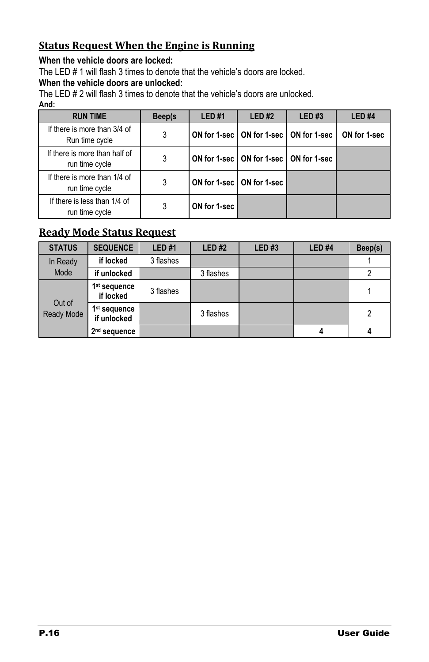#### <span id="page-15-0"></span>**Status Request When the Engine is Running**

**When the vehicle doors are locked:**

The LED # 1 will flash 3 times to denote that the vehicle's doors are locked.

#### **When the vehicle doors are unlocked:**

The LED # 2 will flash 3 times to denote that the vehicle's doors are unlocked. **And:**

| Auu.                                            |         |              |                                            |       |                   |
|-------------------------------------------------|---------|--------------|--------------------------------------------|-------|-------------------|
| <b>RUN TIME</b>                                 | Beep(s) | <b>LED#1</b> | LED#2                                      | LED#3 | LED <sub>#4</sub> |
| If there is more than 3/4 of<br>Run time cycle  | 3       |              | ON for 1 sec   ON for 1 sec   ON for 1 sec |       | ON for 1-sec      |
| If there is more than half of<br>run time cycle | 3       |              | ON for 1-sec   ON for 1-sec   ON for 1-sec |       |                   |
| If there is more than 1/4 of<br>run time cycle  | 3       |              | ON for 1 sec   ON for 1 sec                |       |                   |
| If there is less than 1/4 of<br>run time cycle  | 3       | ON for 1-sec |                                            |       |                   |

#### <span id="page-15-1"></span>**Ready Mode Status Request**

| <b>STATUS</b>        | <b>SEQUENCE</b>                         | <b>LED#1</b> | <b>LED#2</b> | <b>LED#3</b> | LED <sub>#4</sub> | Beep(s) |
|----------------------|-----------------------------------------|--------------|--------------|--------------|-------------------|---------|
| In Ready             | if locked                               | 3 flashes    |              |              |                   |         |
| Mode                 | if unlocked                             |              | 3 flashes    |              |                   |         |
| Out of<br>Ready Mode | 1 <sup>st</sup> sequence<br>if locked   | 3 flashes    |              |              |                   |         |
|                      | 1 <sup>st</sup> sequence<br>if unlocked |              | 3 flashes    |              |                   | 2       |
|                      | 2 <sup>nd</sup> sequence                |              |              |              |                   |         |